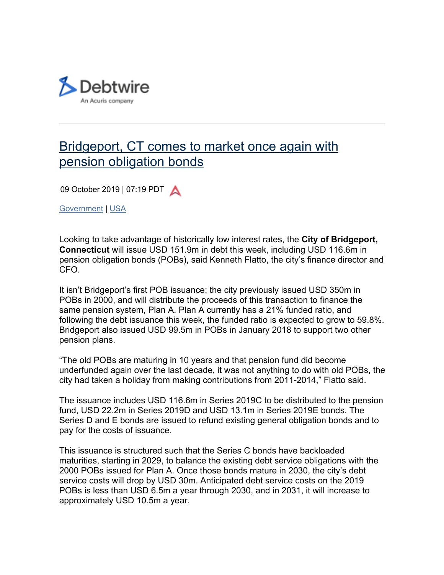

## Bridgeport, CT comes to market once again with pension obligation bonds

09 October 2019 | 07:19 PDT

Government | USA

Looking to take advantage of historically low interest rates, the **City of Bridgeport, Connecticut** will issue USD 151.9m in debt this week, including USD 116.6m in pension obligation bonds (POBs), said Kenneth Flatto, the city's finance director and CFO.

It isn't Bridgeport's first POB issuance; the city previously issued USD 350m in POBs in 2000, and will distribute the proceeds of this transaction to finance the same pension system, Plan A. Plan A currently has a 21% funded ratio, and following the debt issuance this week, the funded ratio is expected to grow to 59.8%. Bridgeport also issued USD 99.5m in POBs in January 2018 to support two other pension plans.

"The old POBs are maturing in 10 years and that pension fund did become underfunded again over the last decade, it was not anything to do with old POBs, the city had taken a holiday from making contributions from 2011-2014," Flatto said.

The issuance includes USD 116.6m in Series 2019C to be distributed to the pension fund, USD 22.2m in Series 2019D and USD 13.1m in Series 2019E bonds. The Series D and E bonds are issued to refund existing general obligation bonds and to pay for the costs of issuance.

This issuance is structured such that the Series C bonds have backloaded maturities, starting in 2029, to balance the existing debt service obligations with the 2000 POBs issued for Plan A. Once those bonds mature in 2030, the city's debt service costs will drop by USD 30m. Anticipated debt service costs on the 2019 POBs is less than USD 6.5m a year through 2030, and in 2031, it will increase to approximately USD 10.5m a year.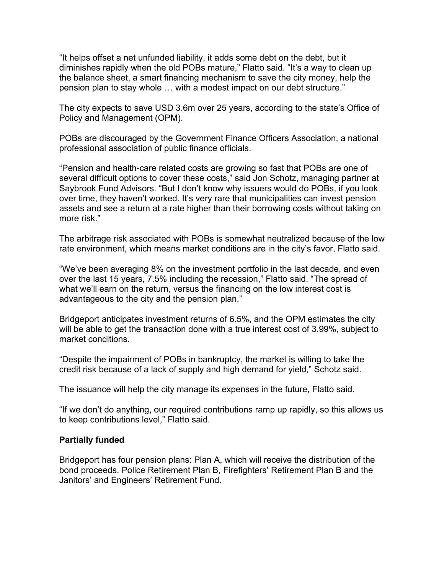"It helps offset a net unfunded liability, it adds some debt on the debt, but it diminishes rapidly when the old POBs mature," Flatto said. "It's a way to clean up the balance sheet, a smart financing mechanism to save the city money, help the pension plan to stay whole … with a modest impact on our debt structure."

The city expects to save USD 3.6m over 25 years, according to the state's Office of Policy and Management (OPM).

POBs are discouraged by the Government Finance Officers Association, a national professional association of public finance officials.

"Pension and health-care related costs are growing so fast that POBs are one of several difficult options to cover these costs," said Jon Schotz, managing partner at Saybrook Fund Advisors. "But I don't know why issuers would do POBs, if you look over time, they haven't worked. It's very rare that municipalities can invest pension assets and see a return at a rate higher than their borrowing costs without taking on more risk."

The arbitrage risk associated with POBs is somewhat neutralized because of the low rate environment, which means market conditions are in the city's favor, Flatto said.

"We've been averaging 8% on the investment portfolio in the last decade, and even over the last 15 years, 7.5% including the recession," Flatto said. "The spread of what we'll earn on the return, versus the financing on the low interest cost is advantageous to the city and the pension plan."

Bridgeport anticipates investment returns of 6.5%, and the OPM estimates the city will be able to get the transaction done with a true interest cost of 3.99%, subject to market conditions.

"Despite the impairment of POBs in bankruptcy, the market is willing to take the credit risk because of a lack of supply and high demand for yield," Schotz said.

The issuance will help the city manage its expenses in the future, Flatto said.

"If we don't do anything, our required contributions ramp up rapidly, so this allows us to keep contributions level," Flatto said.

## **Partially funded**

Bridgeport has four pension plans: Plan A, which will receive the distribution of the bond proceeds, Police Retirement Plan B, Firefighters' Retirement Plan B and the Janitors' and Engineers' Retirement Fund.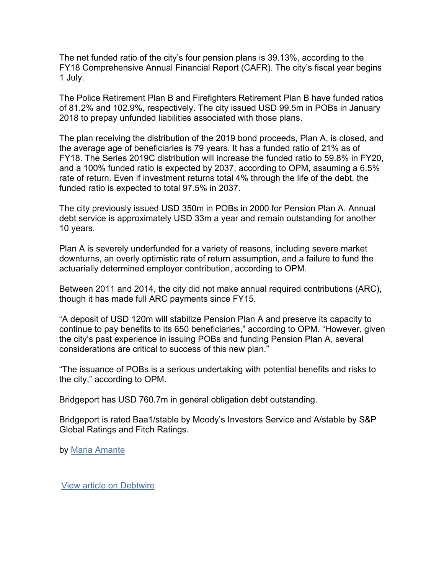The net funded ratio of the city's four pension plans is 39.13%, according to the FY18 Comprehensive Annual Financial Report (CAFR). The city's fiscal year begins 1 July.

The Police Retirement Plan B and Firefighters Retirement Plan B have funded ratios of 81.2% and 102.9%, respectively. The city issued USD 99.5m in POBs in January 2018 to prepay unfunded liabilities associated with those plans.

The plan receiving the distribution of the 2019 bond proceeds, Plan A, is closed, and the average age of beneficiaries is 79 years. It has a funded ratio of 21% as of FY18. The Series 2019C distribution will increase the funded ratio to 59.8% in FY20, and a 100% funded ratio is expected by 2037, according to OPM, assuming a 6.5% rate of return. Even if investment returns total 4% through the life of the debt, the funded ratio is expected to total 97.5% in 2037.

The city previously issued USD 350m in POBs in 2000 for Pension Plan A. Annual debt service is approximately USD 33m a year and remain outstanding for another 10 years.

Plan A is severely underfunded for a variety of reasons, including severe market downturns, an overly optimistic rate of return assumption, and a failure to fund the actuarially determined employer contribution, according to OPM.

Between 2011 and 2014, the city did not make annual required contributions (ARC), though it has made full ARC payments since FY15.

"A deposit of USD 120m will stabilize Pension Plan A and preserve its capacity to continue to pay benefits to its 650 beneficiaries," according to OPM. "However, given the city's past experience in issuing POBs and funding Pension Plan A, several considerations are critical to success of this new plan."

"The issuance of POBs is a serious undertaking with potential benefits and risks to the city," according to OPM.

Bridgeport has USD 760.7m in general obligation debt outstanding.

Bridgeport is rated Baa1/stable by Moody's Investors Service and A/stable by S&P Global Ratings and Fitch Ratings.

by Maria Amante

View article on Debtwire